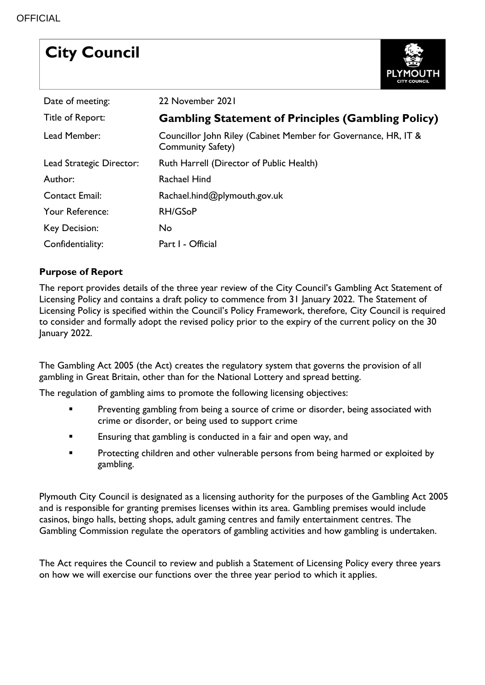# **City Council**



| Date of meeting:         | 22 November 2021                                                                           |
|--------------------------|--------------------------------------------------------------------------------------------|
| Title of Report:         | <b>Gambling Statement of Principles (Gambling Policy)</b>                                  |
| Lead Member:             | Councillor John Riley (Cabinet Member for Governance, HR, IT &<br><b>Community Safety)</b> |
| Lead Strategic Director: | Ruth Harrell (Director of Public Health)                                                   |
| Author:                  | Rachael Hind                                                                               |
| <b>Contact Email:</b>    | Rachael.hind@plymouth.gov.uk                                                               |
| Your Reference:          | <b>RH/GSoP</b>                                                                             |
| Key Decision:            | <b>No</b>                                                                                  |
| Confidentiality:         | Part I - Official                                                                          |

#### **Purpose of Report**

The report provides details of the three year review of the City Council's Gambling Act Statement of Licensing Policy and contains a draft policy to commence from 31 January 2022. The Statement of Licensing Policy is specified within the Council's Policy Framework, therefore, City Council is required to consider and formally adopt the revised policy prior to the expiry of the current policy on the 30 January 2022.

The Gambling Act 2005 (the Act) creates the regulatory system that governs the provision of all gambling in Great Britain, other than for the National Lottery and spread betting.

The regulation of gambling aims to promote the following licensing objectives:

- Preventing gambling from being a source of crime or disorder, being associated with crime or disorder, or being used to support crime
- Ensuring that gambling is conducted in a fair and open way, and
- **Protecting children and other vulnerable persons from being harmed or exploited by** gambling.

Plymouth City Council is designated as a licensing authority for the purposes of the Gambling Act 2005 and is responsible for granting premises licenses within its area. Gambling premises would include casinos, bingo halls, betting shops, adult gaming centres and family entertainment centres. The Gambling Commission regulate the operators of gambling activities and how gambling is undertaken.

The Act requires the Council to review and publish a Statement of Licensing Policy every three years on how we will exercise our functions over the three year period to which it applies.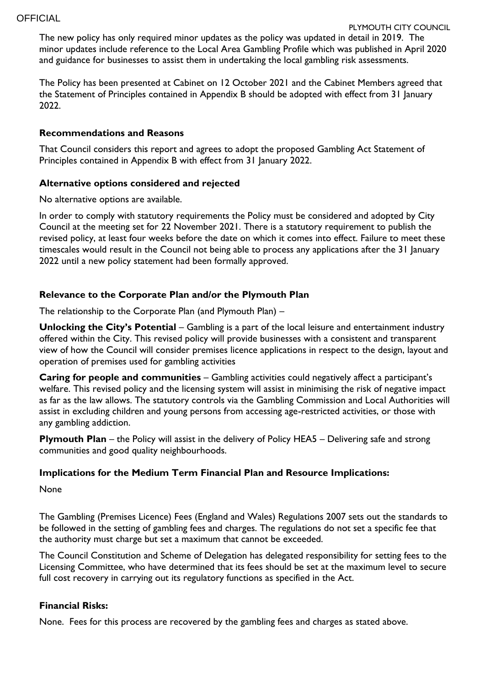The new policy has only required minor updates as the policy was updated in detail in 2019. The minor updates include reference to the Local Area Gambling Profile which was published in April 2020 and guidance for businesses to assist them in undertaking the local gambling risk assessments.

The Policy has been presented at Cabinet on 12 October 2021 and the Cabinet Members agreed that the Statement of Principles contained in Appendix B should be adopted with effect from 31 January 2022.

#### **Recommendations and Reasons**

That Council considers this report and agrees to adopt the proposed Gambling Act Statement of Principles contained in Appendix B with effect from 31 January 2022.

#### **Alternative options considered and rejected**

No alternative options are available.

In order to comply with statutory requirements the Policy must be considered and adopted by City Council at the meeting set for 22 November 2021. There is a statutory requirement to publish the revised policy, at least four weeks before the date on which it comes into effect. Failure to meet these timescales would result in the Council not being able to process any applications after the 31 January 2022 until a new policy statement had been formally approved.

#### **Relevance to the Corporate Plan and/or the Plymouth Plan**

The relationship to the Corporate Plan (and Plymouth Plan) –

**Unlocking the City's Potential** – Gambling is a part of the local leisure and entertainment industry offered within the City. This revised policy will provide businesses with a consistent and transparent view of how the Council will consider premises licence applications in respect to the design, layout and operation of premises used for gambling activities

**Caring for people and communities** – Gambling activities could negatively affect a participant's welfare. This revised policy and the licensing system will assist in minimising the risk of negative impact as far as the law allows. The statutory controls via the Gambling Commission and Local Authorities will assist in excluding children and young persons from accessing age-restricted activities, or those with any gambling addiction.

**Plymouth Plan** – the Policy will assist in the delivery of Policy HEA5 – Delivering safe and strong communities and good quality neighbourhoods.

#### **Implications for the Medium Term Financial Plan and Resource Implications:**

None

The Gambling (Premises Licence) Fees (England and Wales) Regulations 2007 sets out the standards to be followed in the setting of gambling fees and charges. The regulations do not set a specific fee that the authority must charge but set a maximum that cannot be exceeded.

The Council Constitution and Scheme of Delegation has delegated responsibility for setting fees to the Licensing Committee, who have determined that its fees should be set at the maximum level to secure full cost recovery in carrying out its regulatory functions as specified in the Act.

#### **Financial Risks:**

None. Fees for this process are recovered by the gambling fees and charges as stated above.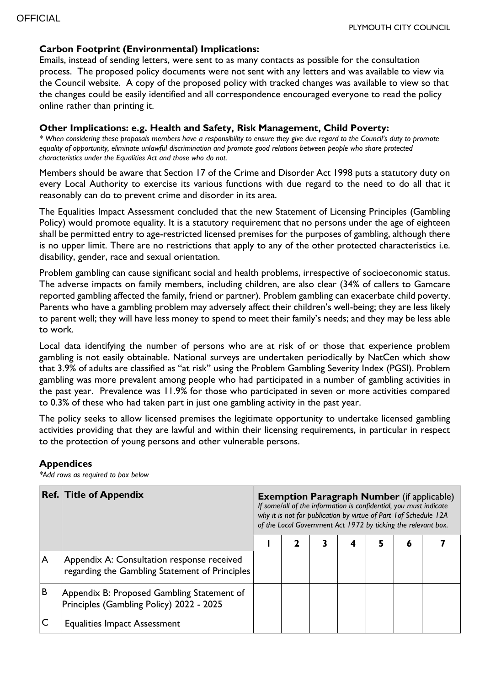### **Carbon Footprint (Environmental) Implications:**

Emails, instead of sending letters, were sent to as many contacts as possible for the consultation process. The proposed policy documents were not sent with any letters and was available to view via the Council website. A copy of the proposed policy with tracked changes was available to view so that the changes could be easily identified and all correspondence encouraged everyone to read the policy online rather than printing it.

#### **Other Implications: e.g. Health and Safety, Risk Management, Child Poverty:**

*\* When considering these proposals members have a responsibility to ensure they give due regard to the Council's duty to promote equality of opportunity, eliminate unlawful discrimination and promote good relations between people who share protected characteristics under the Equalities Act and those who do not.*

Members should be aware that Section 17 of the Crime and Disorder Act 1998 puts a statutory duty on every Local Authority to exercise its various functions with due regard to the need to do all that it reasonably can do to prevent crime and disorder in its area.

The Equalities Impact Assessment concluded that the new Statement of Licensing Principles (Gambling Policy) would promote equality. It is a statutory requirement that no persons under the age of eighteen shall be permitted entry to age-restricted licensed premises for the purposes of gambling, although there is no upper limit. There are no restrictions that apply to any of the other protected characteristics i.e. disability, gender, race and sexual orientation.

Problem gambling can cause significant social and health problems, irrespective of socioeconomic status. The adverse impacts on family members, including children, are also clear (34% of callers to Gamcare reported gambling affected the family, friend or partner). Problem gambling can exacerbate child poverty. Parents who have a gambling problem may adversely affect their children's well-being; they are less likely to parent well; they will have less money to spend to meet their family's needs; and they may be less able to work.

Local data identifying the number of persons who are at risk of or those that experience problem gambling is not easily obtainable. National surveys are undertaken periodically by NatCen which show that 3.9% of adults are classified as "at risk" using the Problem Gambling Severity Index (PGSI). Problem gambling was more prevalent among people who had participated in a number of gambling activities in the past year. Prevalence was 11.9% for those who participated in seven or more activities compared to 0.3% of these who had taken part in just one gambling activity in the past year.

The policy seeks to allow licensed premises the legitimate opportunity to undertake licensed gambling activities providing that they are lawful and within their licensing requirements, in particular in respect to the protection of young persons and other vulnerable persons.

#### **Appendices**

*\*Add rows as required to box below*

|   | <b>Ref. Title of Appendix</b>                                                                | <b>Exemption Paragraph Number</b> (if applicable)<br>If some/all of the information is confidential, you must indicate<br>why it is not for publication by virtue of Part 1 of Schedule 12A<br>of the Local Government Act 1972 by ticking the relevant box. |  |  |   |   |   |  |  |  |
|---|----------------------------------------------------------------------------------------------|--------------------------------------------------------------------------------------------------------------------------------------------------------------------------------------------------------------------------------------------------------------|--|--|---|---|---|--|--|--|
|   |                                                                                              |                                                                                                                                                                                                                                                              |  |  | 4 | 5 | 6 |  |  |  |
| A | Appendix A: Consultation response received<br>regarding the Gambling Statement of Principles |                                                                                                                                                                                                                                                              |  |  |   |   |   |  |  |  |
| B | Appendix B: Proposed Gambling Statement of<br>Principles (Gambling Policy) 2022 - 2025       |                                                                                                                                                                                                                                                              |  |  |   |   |   |  |  |  |
|   | <b>Equalities Impact Assessment</b>                                                          |                                                                                                                                                                                                                                                              |  |  |   |   |   |  |  |  |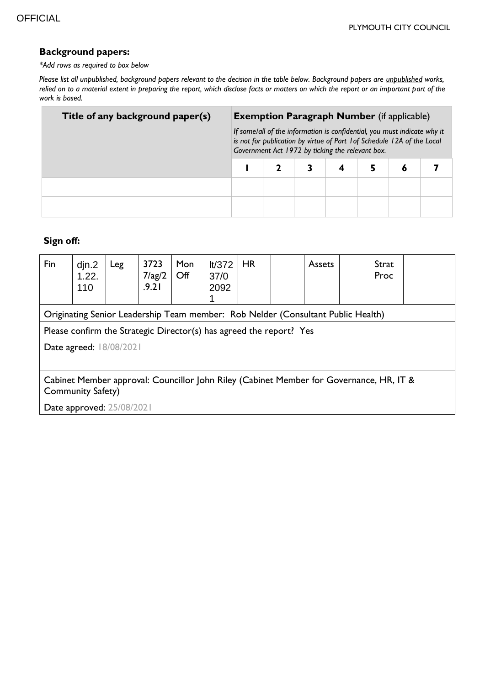#### **Background papers:**

*\*Add rows as required to box below*

*Please list all unpublished, background papers relevant to the decision in the table below. Background papers are unpublished works, relied on to a material extent in preparing the report, which disclose facts or matters on which the report or an important part of the work is based.*

| Title of any background paper(s) | <b>Exemption Paragraph Number</b> (if applicable)                                                                                                                                                       |  |  |  |   |  |  |  |  |
|----------------------------------|---------------------------------------------------------------------------------------------------------------------------------------------------------------------------------------------------------|--|--|--|---|--|--|--|--|
|                                  | If some/all of the information is confidential, you must indicate why it<br>is not for publication by virtue of Part 1 of Schedule 12A of the Local<br>Government Act 1972 by ticking the relevant box. |  |  |  |   |  |  |  |  |
|                                  |                                                                                                                                                                                                         |  |  |  | Õ |  |  |  |  |
|                                  |                                                                                                                                                                                                         |  |  |  |   |  |  |  |  |
|                                  |                                                                                                                                                                                                         |  |  |  |   |  |  |  |  |

# **Sign off:**

| Fin                                                                                                                 | djn.2<br>1.22.<br>110                                                            | Leg | 3723<br>$7$ /ag/2<br>.9.21 | Mon<br>$\mathsf{Off}$ | It/372<br>37/0<br>2092 | <b>HR</b> |  | Assets |  | Strat<br>Proc |  |
|---------------------------------------------------------------------------------------------------------------------|----------------------------------------------------------------------------------|-----|----------------------------|-----------------------|------------------------|-----------|--|--------|--|---------------|--|
|                                                                                                                     | Originating Senior Leadership Team member: Rob Nelder (Consultant Public Health) |     |                            |                       |                        |           |  |        |  |               |  |
| Please confirm the Strategic Director(s) has agreed the report? Yes                                                 |                                                                                  |     |                            |                       |                        |           |  |        |  |               |  |
| Date agreed: 18/08/2021                                                                                             |                                                                                  |     |                            |                       |                        |           |  |        |  |               |  |
|                                                                                                                     |                                                                                  |     |                            |                       |                        |           |  |        |  |               |  |
| Cabinet Member approval: Councillor John Riley (Cabinet Member for Governance, HR, IT &<br><b>Community Safety)</b> |                                                                                  |     |                            |                       |                        |           |  |        |  |               |  |
| Date approved: 25/08/2021                                                                                           |                                                                                  |     |                            |                       |                        |           |  |        |  |               |  |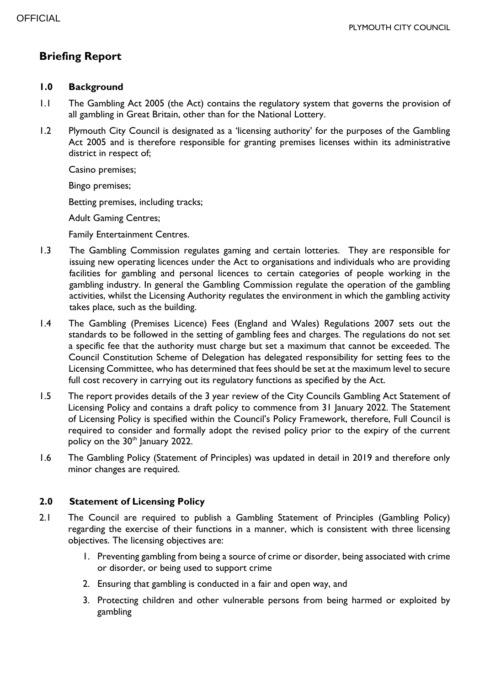# **Briefing Report**

#### **1.0 Background**

- 1.1 The Gambling Act 2005 (the Act) contains the regulatory system that governs the provision of all gambling in Great Britain, other than for the National Lottery.
- 1.2 Plymouth City Council is designated as a 'licensing authority' for the purposes of the Gambling Act 2005 and is therefore responsible for granting premises licenses within its administrative district in respect of;

Casino premises;

Bingo premises;

Betting premises, including tracks;

Adult Gaming Centres;

Family Entertainment Centres.

- 1.3 The Gambling Commission regulates gaming and certain lotteries. They are responsible for issuing new operating licences under the Act to organisations and individuals who are providing facilities for gambling and personal licences to certain categories of people working in the gambling industry. In general the Gambling Commission regulate the operation of the gambling activities, whilst the Licensing Authority regulates the environment in which the gambling activity takes place, such as the building.
- 1.4 The Gambling (Premises Licence) Fees (England and Wales) Regulations 2007 sets out the standards to be followed in the setting of gambling fees and charges. The regulations do not set a specific fee that the authority must charge but set a maximum that cannot be exceeded. The Council Constitution Scheme of Delegation has delegated responsibility for setting fees to the Licensing Committee, who has determined that fees should be set at the maximum level to secure full cost recovery in carrying out its regulatory functions as specified by the Act.
- 1.5 The report provides details of the 3 year review of the City Councils Gambling Act Statement of Licensing Policy and contains a draft policy to commence from 31 January 2022. The Statement of Licensing Policy is specified within the Council's Policy Framework, therefore, Full Council is required to consider and formally adopt the revised policy prior to the expiry of the current policy on the 30<sup>th</sup> January 2022.
- 1.6 The Gambling Policy (Statement of Principles) was updated in detail in 2019 and therefore only minor changes are required.

#### **2.0 Statement of Licensing Policy**

- 2.1 The Council are required to publish a Gambling Statement of Principles (Gambling Policy) regarding the exercise of their functions in a manner, which is consistent with three licensing objectives. The licensing objectives are:
	- 1. Preventing gambling from being a source of crime or disorder, being associated with crime or disorder, or being used to support crime
	- 2. Ensuring that gambling is conducted in a fair and open way, and
	- 3. Protecting children and other vulnerable persons from being harmed or exploited by gambling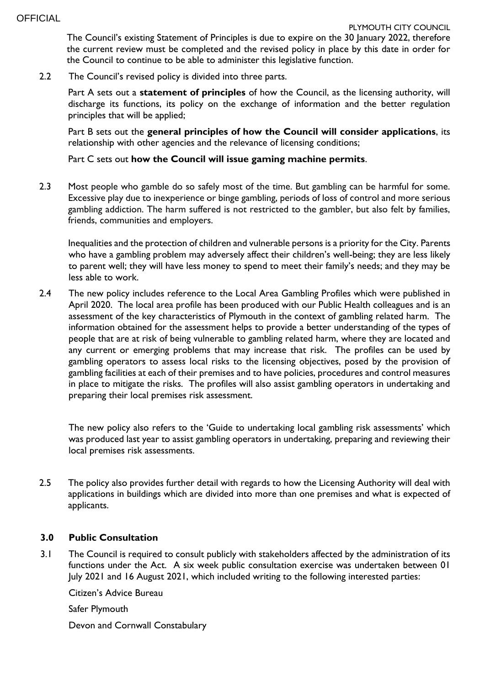The Council's existing Statement of Principles is due to expire on the 30 January 2022, therefore the current review must be completed and the revised policy in place by this date in order for the Council to continue to be able to administer this legislative function.

2.2 The Council's revised policy is divided into three parts.

Part A sets out a **statement of principles** of how the Council, as the licensing authority, will discharge its functions, its policy on the exchange of information and the better regulation principles that will be applied;

Part B sets out the **general principles of how the Council will consider applications**, its relationship with other agencies and the relevance of licensing conditions;

#### Part C sets out **how the Council will issue gaming machine permits**.

2.3 Most people who gamble do so safely most of the time. But gambling can be harmful for some. Excessive play due to inexperience or binge gambling, periods of loss of control and more serious gambling addiction. The harm suffered is not restricted to the gambler, but also felt by families, friends, communities and employers.

Inequalities and the protection of children and vulnerable persons is a priority for the City. Parents who have a gambling problem may adversely affect their children's well-being; they are less likely to parent well; they will have less money to spend to meet their family's needs; and they may be less able to work.

2.4 The new policy includes reference to the Local Area Gambling Profiles which were published in April 2020. The local area profile has been produced with our Public Health colleagues and is an assessment of the key characteristics of Plymouth in the context of gambling related harm. The information obtained for the assessment helps to provide a better understanding of the types of people that are at risk of being vulnerable to gambling related harm, where they are located and any current or emerging problems that may increase that risk. The profiles can be used by gambling operators to assess local risks to the licensing objectives, posed by the provision of gambling facilities at each of their premises and to have policies, procedures and control measures in place to mitigate the risks. The profiles will also assist gambling operators in undertaking and preparing their local premises risk assessment.

The new policy also refers to the 'Guide to undertaking local gambling risk assessments' which was produced last year to assist gambling operators in undertaking, preparing and reviewing their local premises risk assessments.

2.5 The policy also provides further detail with regards to how the Licensing Authority will deal with applications in buildings which are divided into more than one premises and what is expected of applicants.

## **3.0 Public Consultation**

3.1 The Council is required to consult publicly with stakeholders affected by the administration of its functions under the Act. A six week public consultation exercise was undertaken between 01 July 2021 and 16 August 2021, which included writing to the following interested parties:

Citizen's Advice Bureau

Safer Plymouth

Devon and Cornwall Constabulary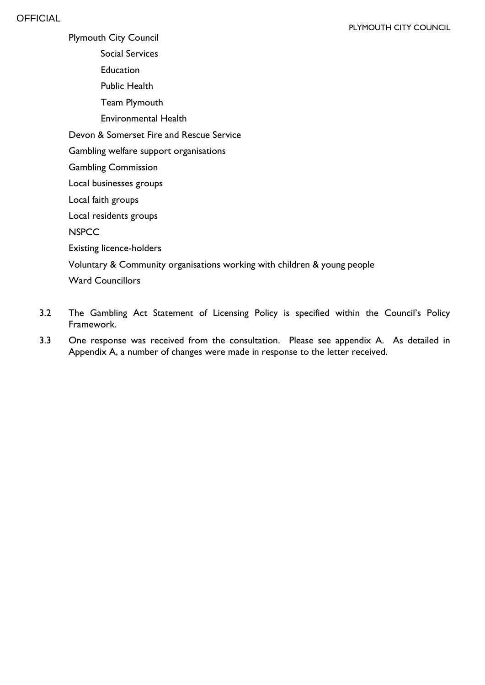Plymouth City Council

Social Services

Education

Public Health

Team Plymouth

Environmental Health

Devon & Somerset Fire and Rescue Service

Gambling welfare support organisations

Gambling Commission

Local businesses groups

Local faith groups

Local residents groups

**NSPCC** 

Existing licence-holders

Voluntary & Community organisations working with children & young people

Ward Councillors

- 3.2 The Gambling Act Statement of Licensing Policy is specified within the Council's Policy Framework.
- 3.3 One response was received from the consultation. Please see appendix A. As detailed in Appendix A, a number of changes were made in response to the letter received.